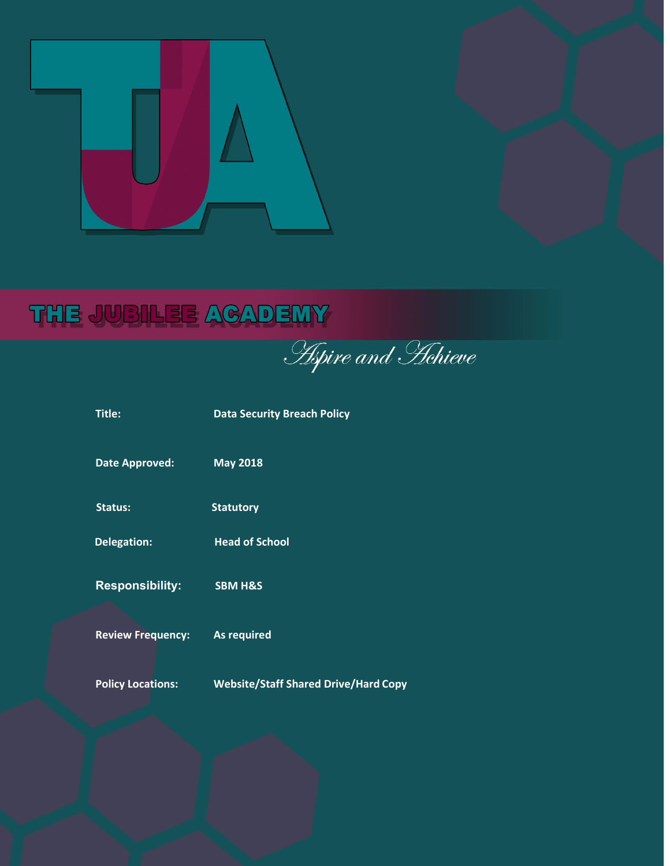

# THE JUBILEE ACADEMY

**Aspire and Hehieve** 

| Title:                   | <b>Data Security Breach Policy</b>          |
|--------------------------|---------------------------------------------|
| <b>Date Approved:</b>    | <b>May 2018</b>                             |
| <b>Status:</b>           | <b>Statutory</b>                            |
| <b>Delegation:</b>       | <b>Head of School</b>                       |
| <b>Responsibility:</b>   | <b>SBM H&amp;S</b>                          |
| <b>Review Frequency:</b> | <b>As required</b>                          |
| <b>Policy Locations:</b> | <b>Website/Staff Shared Drive/Hard Copy</b> |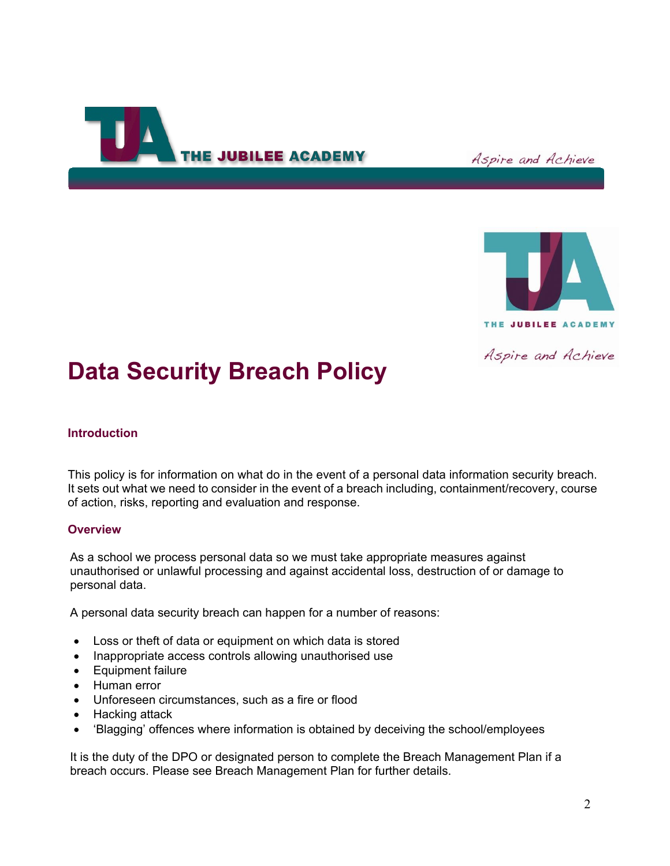

Aspire and Achieve



Aspire and Achieve

## **Data Security Breach Policy**

## **Introduction**

This policy is for information on what do in the event of a personal data information security breach. It sets out what we need to consider in the event of a breach including, containment/recovery, course of action, risks, reporting and evaluation and response.

## **Overview**

As a school we process personal data so we must take appropriate measures against unauthorised or unlawful processing and against accidental loss, destruction of or damage to personal data.

A personal data security breach can happen for a number of reasons:

- Loss or theft of data or equipment on which data is stored
- Inappropriate access controls allowing unauthorised use
- Equipment failure
- Human error
- Unforeseen circumstances, such as a fire or flood
- Hacking attack
- 'Blagging' offences where information is obtained by deceiving the school/employees

It is the duty of the DPO or designated person to complete the Breach Management Plan if a breach occurs. Please see Breach Management Plan for further details.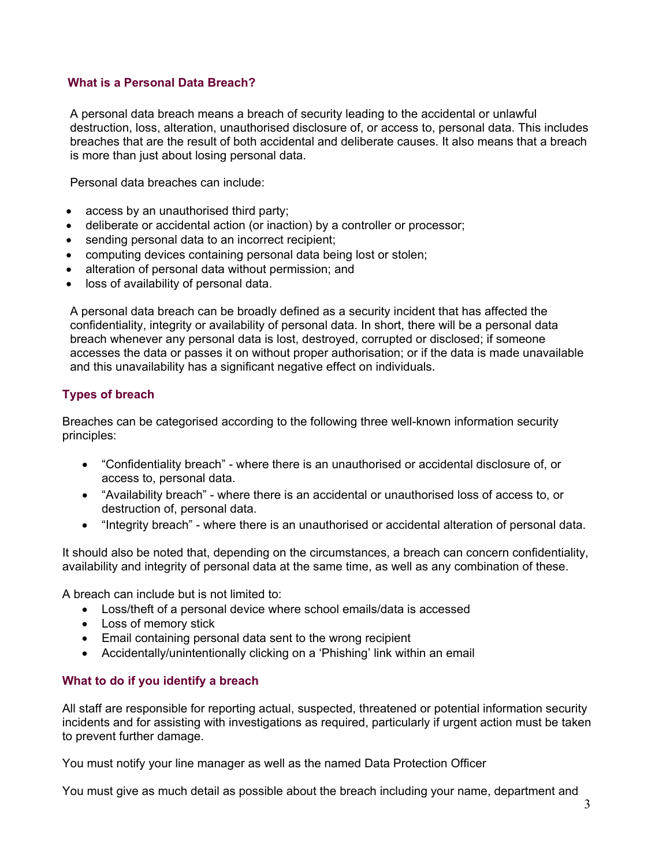## **What is a Personal Data Breach?**

A personal data breach means a breach of security leading to the accidental or unlawful destruction, loss, alteration, unauthorised disclosure of, or access to, personal data. This includes breaches that are the result of both accidental and deliberate causes. It also means that a breach is more than just about losing personal data.

Personal data breaches can include:

- access by an unauthorised third party;
- deliberate or accidental action (or inaction) by a controller or processor;
- sending personal data to an incorrect recipient;
- computing devices containing personal data being lost or stolen;
- alteration of personal data without permission; and
- loss of availability of personal data.

A personal data breach can be broadly defined as a security incident that has affected the confidentiality, integrity or availability of personal data. In short, there will be a personal data breach whenever any personal data is lost, destroyed, corrupted or disclosed; if someone accesses the data or passes it on without proper authorisation; or if the data is made unavailable and this unavailability has a significant negative effect on individuals.

## **Types of breach**

Breaches can be categorised according to the following three well-known information security principles:

- "Confidentiality breach" where there is an unauthorised or accidental disclosure of, or access to, personal data.
- "Availability breach" where there is an accidental or unauthorised loss of access to, or destruction of, personal data.
- "Integrity breach" where there is an unauthorised or accidental alteration of personal data.

It should also be noted that, depending on the circumstances, a breach can concern confidentiality, availability and integrity of personal data at the same time, as well as any combination of these.

A breach can include but is not limited to:

- Loss/theft of a personal device where school emails/data is accessed
- Loss of memory stick
- Email containing personal data sent to the wrong recipient
- Accidentally/unintentionally clicking on a 'Phishing' link within an email

## **What to do if you identify a breach**

All staff are responsible for reporting actual, suspected, threatened or potential information security incidents and for assisting with investigations as required, particularly if urgent action must be taken to prevent further damage.

You must notify your line manager as well as the named Data Protection Officer

You must give as much detail as possible about the breach including your name, department and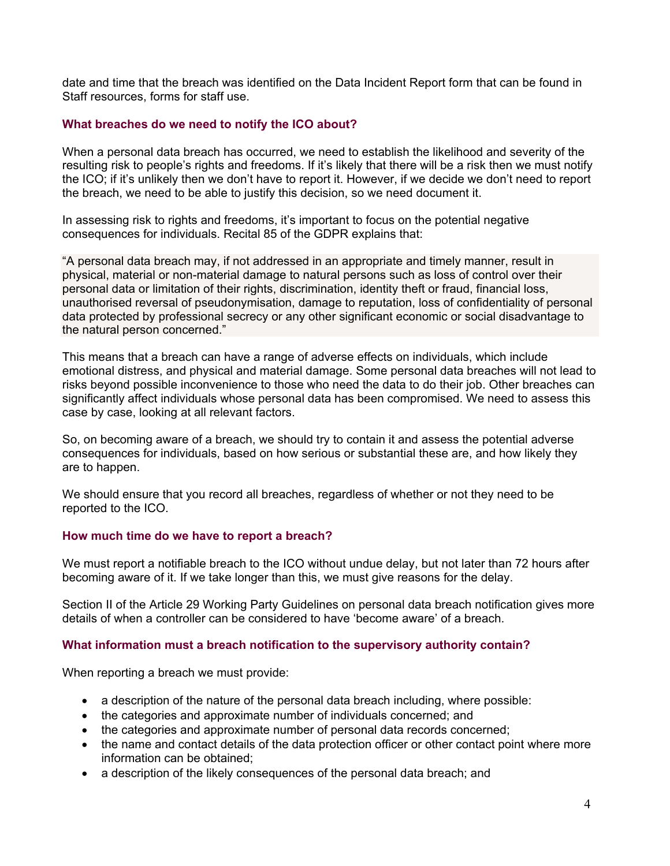date and time that the breach was identified on the Data Incident Report form that can be found in Staff resources, forms for staff use.

#### **What breaches do we need to notify the ICO about?**

When a personal data breach has occurred, we need to establish the likelihood and severity of the resulting risk to people's rights and freedoms. If it's likely that there will be a risk then we must notify the ICO; if it's unlikely then we don't have to report it. However, if we decide we don't need to report the breach, we need to be able to justify this decision, so we need document it.

In assessing risk to rights and freedoms, it's important to focus on the potential negative consequences for individuals. Recital 85 of the GDPR explains that:

"A personal data breach may, if not addressed in an appropriate and timely manner, result in physical, material or non-material damage to natural persons such as loss of control over their personal data or limitation of their rights, discrimination, identity theft or fraud, financial loss, unauthorised reversal of pseudonymisation, damage to reputation, loss of confidentiality of personal data protected by professional secrecy or any other significant economic or social disadvantage to the natural person concerned."

This means that a breach can have a range of adverse effects on individuals, which include emotional distress, and physical and material damage. Some personal data breaches will not lead to risks beyond possible inconvenience to those who need the data to do their job. Other breaches can significantly affect individuals whose personal data has been compromised. We need to assess this case by case, looking at all relevant factors.

So, on becoming aware of a breach, we should try to contain it and assess the potential adverse consequences for individuals, based on how serious or substantial these are, and how likely they are to happen.

We should ensure that you record all breaches, regardless of whether or not they need to be reported to the ICO.

#### **How much time do we have to report a breach?**

We must report a notifiable breach to the ICO without undue delay, but not later than 72 hours after becoming aware of it. If we take longer than this, we must give reasons for the delay.

Section II of the Article 29 Working Party Guidelines on personal data breach notification gives more details of when a controller can be considered to have 'become aware' of a breach.

#### **What information must a breach notification to the supervisory authority contain?**

When reporting a breach we must provide:

- a description of the nature of the personal data breach including, where possible:
- the categories and approximate number of individuals concerned; and
- the categories and approximate number of personal data records concerned;
- the name and contact details of the data protection officer or other contact point where more information can be obtained;
- a description of the likely consequences of the personal data breach; and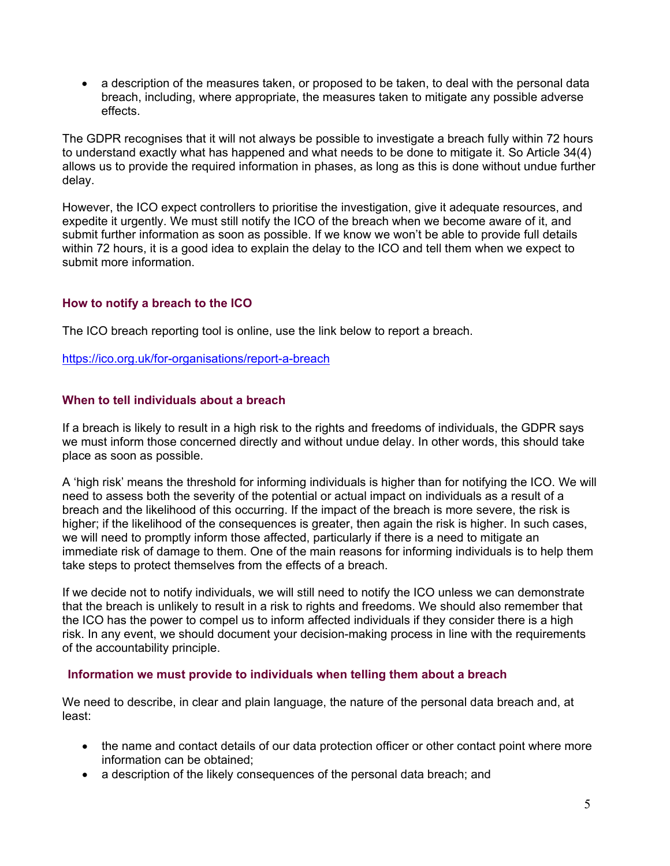• a description of the measures taken, or proposed to be taken, to deal with the personal data breach, including, where appropriate, the measures taken to mitigate any possible adverse effects.

The GDPR recognises that it will not always be possible to investigate a breach fully within 72 hours to understand exactly what has happened and what needs to be done to mitigate it. So Article 34(4) allows us to provide the required information in phases, as long as this is done without undue further delay.

However, the ICO expect controllers to prioritise the investigation, give it adequate resources, and expedite it urgently. We must still notify the ICO of the breach when we become aware of it, and submit further information as soon as possible. If we know we won't be able to provide full details within 72 hours, it is a good idea to explain the delay to the ICO and tell them when we expect to submit more information.

## **How to notify a breach to the ICO**

The ICO breach reporting tool is online, use the link below to report a breach.

<https://ico.org.uk/for-organisations/report-a-breach>

## **When to tell individuals about a breach**

If a breach is likely to result in a high risk to the rights and freedoms of individuals, the GDPR says we must inform those concerned directly and without undue delay. In other words, this should take place as soon as possible.

A 'high risk' means the threshold for informing individuals is higher than for notifying the ICO. We will need to assess both the severity of the potential or actual impact on individuals as a result of a breach and the likelihood of this occurring. If the impact of the breach is more severe, the risk is higher; if the likelihood of the consequences is greater, then again the risk is higher. In such cases, we will need to promptly inform those affected, particularly if there is a need to mitigate an immediate risk of damage to them. One of the main reasons for informing individuals is to help them take steps to protect themselves from the effects of a breach.

If we decide not to notify individuals, we will still need to notify the ICO unless we can demonstrate that the breach is unlikely to result in a risk to rights and freedoms. We should also remember that the ICO has the power to compel us to inform affected individuals if they consider there is a high risk. In any event, we should document your decision-making process in line with the requirements of the accountability principle.

#### **Information we must provide to individuals when telling them about a breach**

We need to describe, in clear and plain language, the nature of the personal data breach and, at least:

- the name and contact details of our data protection officer or other contact point where more information can be obtained;
- a description of the likely consequences of the personal data breach; and